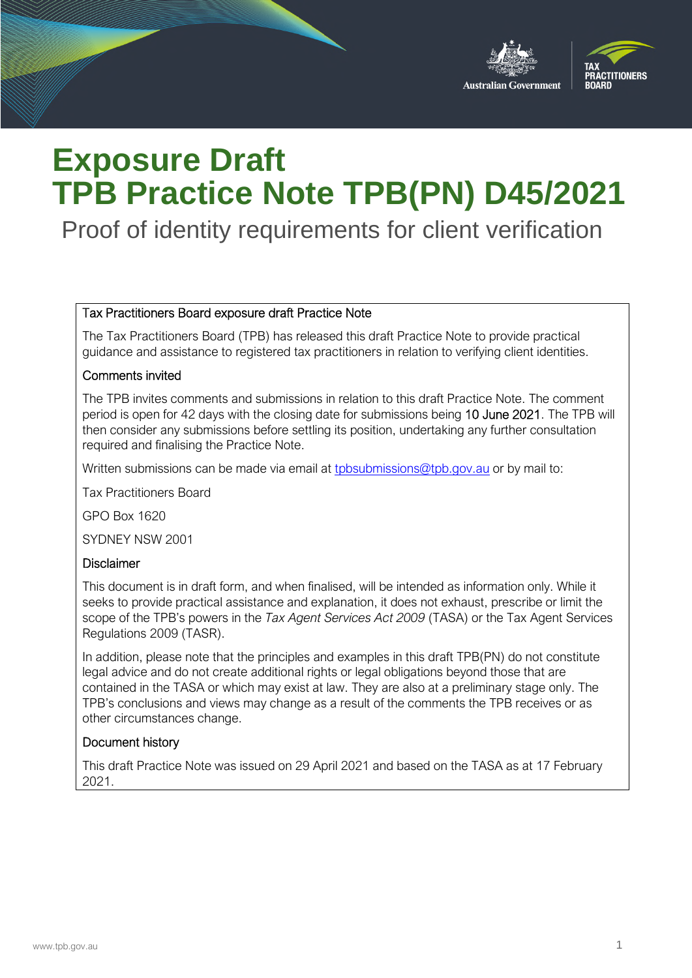

# **Exposure Draft TPB Practice Note TPB(PN) D45/2021**

Proof of identity requirements for client verification

#### Tax Practitioners Board exposure draft Practice Note

The Tax Practitioners Board (TPB) has released this draft Practice Note to provide practical guidance and assistance to registered tax practitioners in relation to verifying client identities.

#### Comments invited

The TPB invites comments and submissions in relation to this draft Practice Note. The comment period is open for 42 days with the closing date for submissions being 10 June 2021. The TPB will then consider any submissions before settling its position, undertaking any further consultation required and finalising the Practice Note.

Written submissions can be made via email at [tpbsubmissions@tpb.gov.au](mailto:tpbsubmissions@tpb.gov.au) or by mail to:

Tax Practitioners Board

GPO Box 1620

SYDNEY NSW 2001

#### **Disclaimer**

This document is in draft form, and when finalised, will be intended as information only. While it seeks to provide practical assistance and explanation, it does not exhaust, prescribe or limit the scope of the TPB's powers in the *Tax Agent Services Act 2009* (TASA) or the Tax Agent Services Regulations 2009 (TASR).

In addition, please note that the principles and examples in this draft TPB(PN) do not constitute legal advice and do not create additional rights or legal obligations beyond those that are contained in the TASA or which may exist at law. They are also at a preliminary stage only. The TPB's conclusions and views may change as a result of the comments the TPB receives or as other circumstances change.

#### Document history

This draft Practice Note was issued on 29 April 2021 and based on the TASA as at 17 February 2021.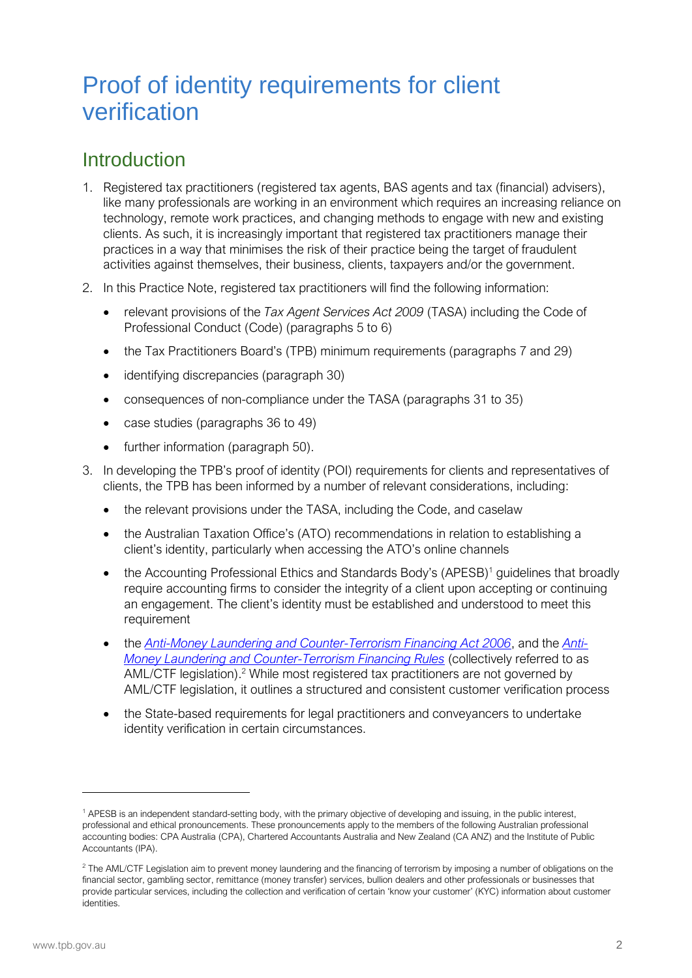## Proof of identity requirements for client verification

## **Introduction**

- 1. Registered tax practitioners (registered tax agents, BAS agents and tax (financial) advisers), like many professionals are working in an environment which requires an increasing reliance on technology, remote work practices, and changing methods to engage with new and existing clients. As such, it is increasingly important that registered tax practitioners manage their practices in a way that minimises the risk of their practice being the target of fraudulent activities against themselves, their business, clients, taxpayers and/or the government.
- 2. In this Practice Note, registered tax practitioners will find the following information:
	- relevant provisions of the *Tax Agent Services Act 2009* (TASA) including the Code of Professional Conduct (Code) (paragraphs 5 to 6)
	- the Tax Practitioners Board's (TPB) minimum requirements (paragraphs 7 and 29)
	- identifying discrepancies (paragraph 30)
	- consequences of non-compliance under the TASA (paragraphs 31 to 35)
	- case studies (paragraphs 36 to 49)
	- further information (paragraph 50).
- 3. In developing the TPB's proof of identity (POI) requirements for clients and representatives of clients, the TPB has been informed by a number of relevant considerations, including:
	- the relevant provisions under the TASA, including the Code, and caselaw
	- the Australian Taxation Office's (ATO) recommendations in relation to establishing a client's identity, particularly when accessing the ATO's online channels
	- the Accounting Professional Ethics and Standards Body's (APESB)<sup>[1](#page-1-0)</sup> guidelines that broadly require accounting firms to consider the integrity of a client upon accepting or continuing an engagement. The client's identity must be established and understood to meet this requirement
	- the *[Anti-Money Laundering and Counter-Terrorism Financing Act 2006](https://www.legislation.gov.au/Series/C2006A00169)*, and the *[Anti-](https://www.legislation.gov.au/Series/F2007L01000)Money Laundering a[nd](#page-1-1) Counter-Terrorism Financing Rules* (collectively referred to as AML/CTF legislation).<sup>2</sup> While most registered tax practitioners are not governed by AML/CTF legislation, it outlines a structured and consistent customer verification process
	- the State-based requirements for legal practitioners and conveyancers to undertake identity verification in certain circumstances.

<span id="page-1-0"></span><sup>&</sup>lt;sup>1</sup> APESB is an independent standard-setting body, with the primary objective of developing and issuing, in the public interest, professional and ethical pronouncements. These pronouncements apply to the members of the following Australian professional accounting bodies: CPA Australia (CPA), Chartered Accountants Australia and New Zealand (CA ANZ) and the Institute of Public Accountants (IPA).

<span id="page-1-1"></span> $^2$  The AML/CTF Legislation aim to prevent money laundering and the financing of terrorism by imposing a number of obligations on the financial sector, gambling sector, remittance (money transfer) services, bullion dealers and other professionals or businesses that provide particular services, including the collection and verification of certain 'know your customer' (KYC) information about customer identities.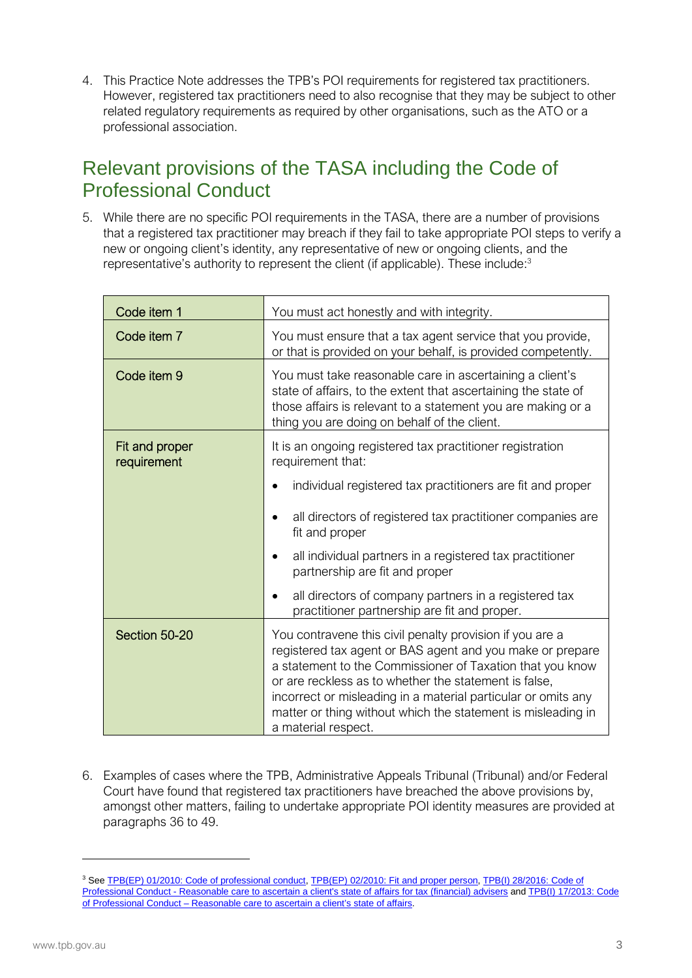4. This Practice Note addresses the TPB's POI requirements for registered tax practitioners. However, registered tax practitioners need to also recognise that they may be subject to other related regulatory requirements as required by other organisations, such as the ATO or a professional association.

### Relevant provisions of the TASA including the Code of Professional Conduct

5. While there are no specific POI requirements in the TASA, there are a number of provisions that a registered tax practitioner may breach if they fail to take appropriate POI steps to verify a new or ongoing client's identity, any representative of new or ongoing clients, [an](#page-2-0)d the representative's authority to represent the client (if applicable). These include:<sup>3</sup>

| Code item 1                   | You must act honestly and with integrity.                                                                                                                                                                                                                                                                                                                                                           |  |
|-------------------------------|-----------------------------------------------------------------------------------------------------------------------------------------------------------------------------------------------------------------------------------------------------------------------------------------------------------------------------------------------------------------------------------------------------|--|
| Code item 7                   | You must ensure that a tax agent service that you provide,<br>or that is provided on your behalf, is provided competently.                                                                                                                                                                                                                                                                          |  |
| Code item 9                   | You must take reasonable care in ascertaining a client's<br>state of affairs, to the extent that ascertaining the state of<br>those affairs is relevant to a statement you are making or a<br>thing you are doing on behalf of the client.                                                                                                                                                          |  |
| Fit and proper<br>requirement | It is an ongoing registered tax practitioner registration<br>requirement that:                                                                                                                                                                                                                                                                                                                      |  |
|                               | individual registered tax practitioners are fit and proper                                                                                                                                                                                                                                                                                                                                          |  |
|                               | all directors of registered tax practitioner companies are<br>fit and proper                                                                                                                                                                                                                                                                                                                        |  |
|                               | all individual partners in a registered tax practitioner<br>partnership are fit and proper                                                                                                                                                                                                                                                                                                          |  |
|                               | all directors of company partners in a registered tax<br>practitioner partnership are fit and proper.                                                                                                                                                                                                                                                                                               |  |
| Section 50-20                 | You contravene this civil penalty provision if you are a<br>registered tax agent or BAS agent and you make or prepare<br>a statement to the Commissioner of Taxation that you know<br>or are reckless as to whether the statement is false,<br>incorrect or misleading in a material particular or omits any<br>matter or thing without which the statement is misleading in<br>a material respect. |  |

6. Examples of cases where the TPB, Administrative Appeals Tribunal (Tribunal) and/or Federal Court have found that registered tax practitioners have breached the above provisions by, amongst other matters, failing to undertake appropriate POI identity measures are provided at paragraphs 36 to 49.

<span id="page-2-0"></span><sup>&</sup>lt;sup>3</sup> See [TPB\(EP\) 01/2010: Code of professional conduct](https://www.tpb.gov.au/explanatory-paper-tpbep-012010-code-professional-conduct), [TPB\(EP\) 02/2010: Fit and proper person](https://www.tpb.gov.au/explanatory-paper-tpbep-022010-fit-and-proper-person), TPB(I) 28/2016: Code of [Professional Conduct - Reasonable care to ascertain a client's state of affairs for tax \(financial\) advisers](https://www.tpb.gov.au/reasonable-care-ascertain-client-state-of-affairs-tax-financial-advisers-tpbi-282016) and [TPB\(I\) 17/2013: Code](https://www.tpb.gov.au/reasonable-care-ascertain-clients-state-affairs-tpb-information-sheet-tpbi-172013)  [of Professional Conduct – Reasonable care to ascertain a client's state of affairs.](https://www.tpb.gov.au/reasonable-care-ascertain-clients-state-affairs-tpb-information-sheet-tpbi-172013)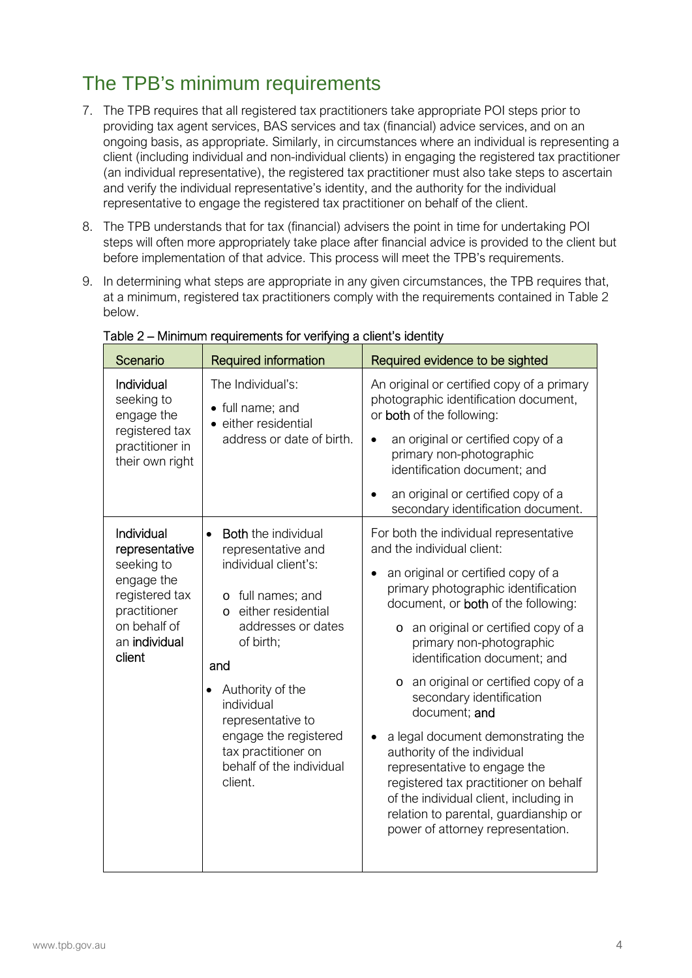## The TPB's minimum requirements

- 7. The TPB requires that all registered tax practitioners take appropriate POI steps prior to providing tax agent services, BAS services and tax (financial) advice services, and on an ongoing basis, as appropriate. Similarly, in circumstances where an individual is representing a client (including individual and non-individual clients) in engaging the registered tax practitioner (an individual representative), the registered tax practitioner must also take steps to ascertain and verify the individual representative's identity, and the authority for the individual representative to engage the registered tax practitioner on behalf of the client.
- 8. The TPB understands that for tax (financial) advisers the point in time for undertaking POI steps will often more appropriately take place after financial advice is provided to the client but before implementation of that advice. This process will meet the TPB's requirements.
- 9. In determining what steps are appropriate in any given circumstances, the TPB requires that, at a minimum, registered tax practitioners comply with the requirements contained in Table 2 below.

| Scenario                                                                                                                              | <b>Required information</b>                                                                                                                                                                                                                                                                                                         | Required evidence to be sighted                                                                                                                                                                                                                                                                                                                                                                                                                                                                                                                                                                                                                                               |
|---------------------------------------------------------------------------------------------------------------------------------------|-------------------------------------------------------------------------------------------------------------------------------------------------------------------------------------------------------------------------------------------------------------------------------------------------------------------------------------|-------------------------------------------------------------------------------------------------------------------------------------------------------------------------------------------------------------------------------------------------------------------------------------------------------------------------------------------------------------------------------------------------------------------------------------------------------------------------------------------------------------------------------------------------------------------------------------------------------------------------------------------------------------------------------|
| Individual<br>seeking to<br>engage the<br>registered tax<br>practitioner in<br>their own right                                        | The Individual's:<br>• full name; and<br>• either residential<br>address or date of birth.                                                                                                                                                                                                                                          | An original or certified copy of a primary<br>photographic identification document,<br>or both of the following:<br>an original or certified copy of a<br>primary non-photographic<br>identification document; and<br>an original or certified copy of a<br>secondary identification document.                                                                                                                                                                                                                                                                                                                                                                                |
| Individual<br>representative<br>seeking to<br>engage the<br>registered tax<br>practitioner<br>on behalf of<br>an individual<br>client | <b>Both</b> the individual<br>$\bullet$<br>representative and<br>individual client's:<br>o full names; and<br>either residential<br>$\circ$<br>addresses or dates<br>of birth;<br>and<br>Authority of the<br>individual<br>representative to<br>engage the registered<br>tax practitioner on<br>behalf of the individual<br>client. | For both the individual representative<br>and the individual client:<br>an original or certified copy of a<br>primary photographic identification<br>document, or both of the following:<br>o an original or certified copy of a<br>primary non-photographic<br>identification document; and<br>an original or certified copy of a<br>$\circ$<br>secondary identification<br>document; and<br>a legal document demonstrating the<br>$\bullet$<br>authority of the individual<br>representative to engage the<br>registered tax practitioner on behalf<br>of the individual client, including in<br>relation to parental, guardianship or<br>power of attorney representation. |

Table 2 – Minimum requirements for verifying a client's identity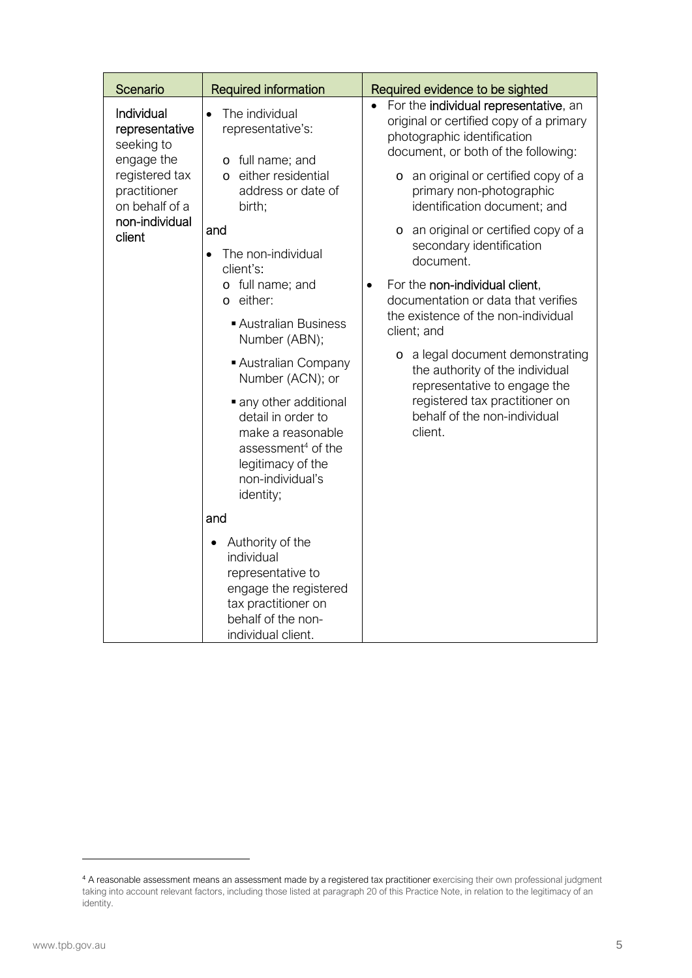| Scenario                                                                                                                                 | <b>Required information</b>                                                                                                                                                                                                                                                                                                                                                                                                                                                                                                                                                                                                             | Required evidence to be sighted                                                                                                                                                                                                                                                                                                                                                                                                                                                                                                                                                                                                                                                                   |
|------------------------------------------------------------------------------------------------------------------------------------------|-----------------------------------------------------------------------------------------------------------------------------------------------------------------------------------------------------------------------------------------------------------------------------------------------------------------------------------------------------------------------------------------------------------------------------------------------------------------------------------------------------------------------------------------------------------------------------------------------------------------------------------------|---------------------------------------------------------------------------------------------------------------------------------------------------------------------------------------------------------------------------------------------------------------------------------------------------------------------------------------------------------------------------------------------------------------------------------------------------------------------------------------------------------------------------------------------------------------------------------------------------------------------------------------------------------------------------------------------------|
| Individual<br>representative<br>seeking to<br>engage the<br>registered tax<br>practitioner<br>on behalf of a<br>non-individual<br>client | The individual<br>$\bullet$<br>representative's:<br>o full name; and<br>either residential<br>$\Omega$<br>address or date of<br>birth;<br>and<br>The non-individual<br>client's:<br>o full name; and<br>o either:<br>Australian Business<br>Number (ABN);<br>Australian Company<br>Number (ACN); or<br>• any other additional<br>detail in order to<br>make a reasonable<br>assessment <sup>4</sup> of the<br>legitimacy of the<br>non-individual's<br>identity;<br>and<br>Authority of the<br>$\bullet$<br>individual<br>representative to<br>engage the registered<br>tax practitioner on<br>behalf of the non-<br>individual client. | For the individual representative, an<br>$\bullet$<br>original or certified copy of a primary<br>photographic identification<br>document, or both of the following:<br>o an original or certified copy of a<br>primary non-photographic<br>identification document; and<br>o an original or certified copy of a<br>secondary identification<br>document.<br>For the non-individual client,<br>$\bullet$<br>documentation or data that verifies<br>the existence of the non-individual<br>client; and<br>a legal document demonstrating<br>$\circ$<br>the authority of the individual<br>representative to engage the<br>registered tax practitioner on<br>behalf of the non-individual<br>client. |

<span id="page-4-0"></span><sup>4</sup> A reasonable assessment means an assessment made by a registered tax practitioner exercising their own professional judgment taking into account relevant factors, including those listed at paragraph 20 of this Practice Note, in relation to the legitimacy of an identity.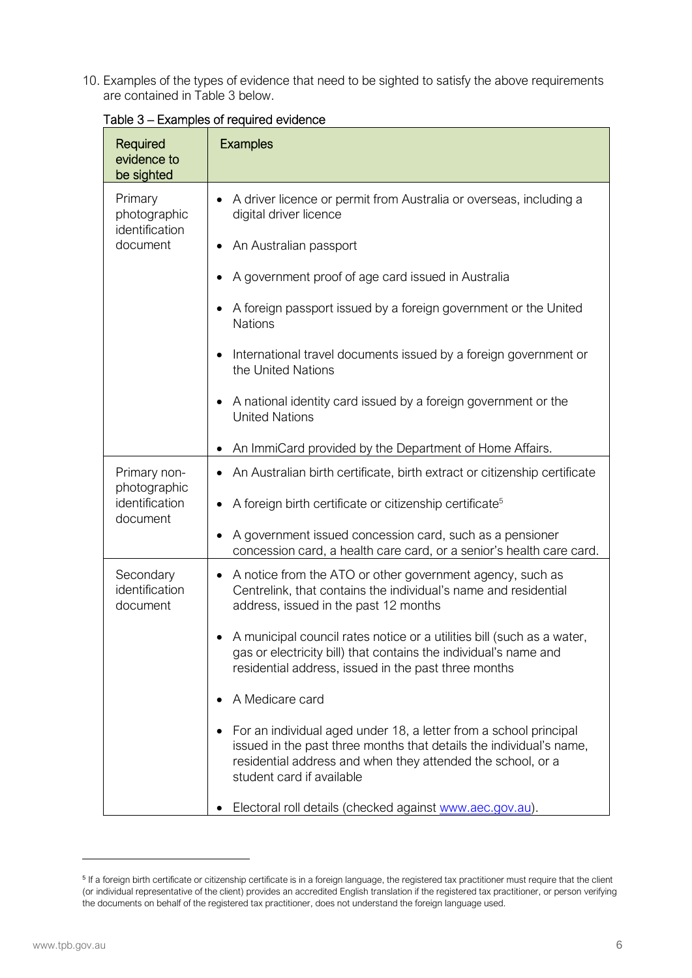10. Examples of the types of evidence that need to be sighted to satisfy the above requirements are contained in Table 3 below.

| Required<br>evidence to<br>be sighted                      | <b>Examples</b>                                                                                                                                                                                                                      |
|------------------------------------------------------------|--------------------------------------------------------------------------------------------------------------------------------------------------------------------------------------------------------------------------------------|
| Primary<br>photographic<br>identification                  | A driver licence or permit from Australia or overseas, including a<br>digital driver licence                                                                                                                                         |
| document                                                   | An Australian passport                                                                                                                                                                                                               |
|                                                            | A government proof of age card issued in Australia                                                                                                                                                                                   |
|                                                            | A foreign passport issued by a foreign government or the United<br><b>Nations</b>                                                                                                                                                    |
|                                                            | International travel documents issued by a foreign government or<br>the United Nations                                                                                                                                               |
|                                                            | A national identity card issued by a foreign government or the<br><b>United Nations</b>                                                                                                                                              |
|                                                            | An ImmiCard provided by the Department of Home Affairs.                                                                                                                                                                              |
| Primary non-<br>photographic<br>identification<br>document | An Australian birth certificate, birth extract or citizenship certificate                                                                                                                                                            |
|                                                            | A foreign birth certificate or citizenship certificate <sup>5</sup>                                                                                                                                                                  |
|                                                            | A government issued concession card, such as a pensioner<br>concession card, a health care card, or a senior's health care card.                                                                                                     |
| Secondary<br>identification<br>document                    | A notice from the ATO or other government agency, such as<br>Centrelink, that contains the individual's name and residential<br>address, issued in the past 12 months                                                                |
|                                                            | A municipal council rates notice or a utilities bill (such as a water,<br>gas or electricity bill) that contains the individual's name and<br>residential address, issued in the past three months                                   |
|                                                            | A Medicare card                                                                                                                                                                                                                      |
|                                                            | For an individual aged under 18, a letter from a school principal<br>issued in the past three months that details the individual's name,<br>residential address and when they attended the school, or a<br>student card if available |
|                                                            | Electoral roll details (checked against www.aec.gov.au).                                                                                                                                                                             |

#### Table 3 – Examples of required evidence

<span id="page-5-0"></span><sup>&</sup>lt;sup>5</sup> If a foreign birth certificate or citizenship certificate is in a foreign language, the registered tax practitioner must require that the client (or individual representative of the client) provides an accredited English translation if the registered tax practitioner, or person verifying the documents on behalf of the registered tax practitioner, does not understand the foreign language used.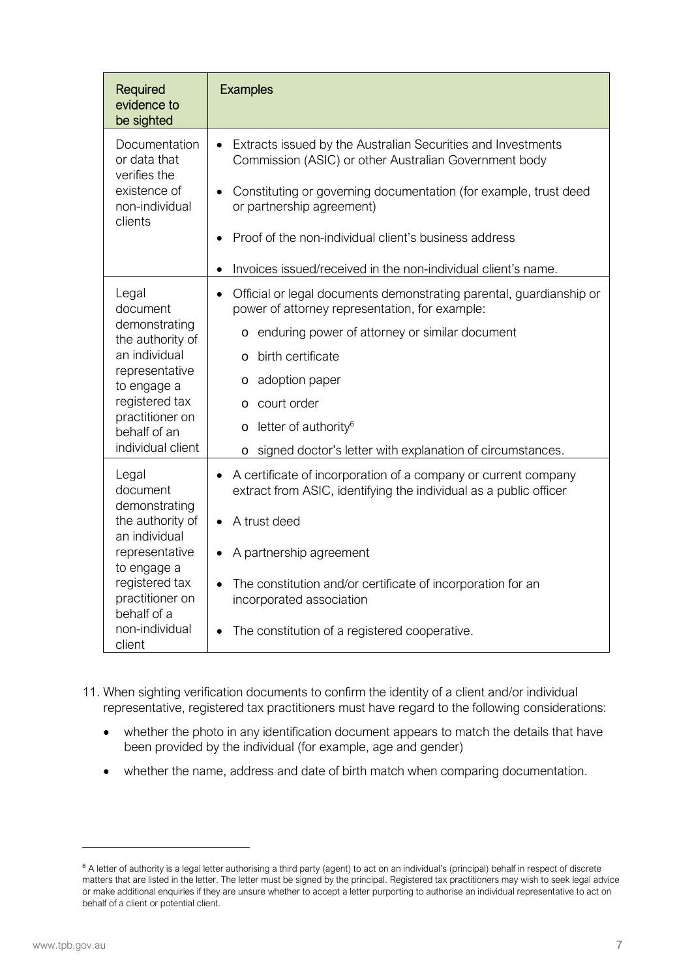| Required<br>evidence to<br>be sighted                                                                                                                                                                         | <b>Examples</b>                                                                                                                                                                                                                                                                                                                                                                                           |
|---------------------------------------------------------------------------------------------------------------------------------------------------------------------------------------------------------------|-----------------------------------------------------------------------------------------------------------------------------------------------------------------------------------------------------------------------------------------------------------------------------------------------------------------------------------------------------------------------------------------------------------|
| Documentation<br>or data that<br>verifies the<br>existence of<br>non-individual<br>clients                                                                                                                    | Extracts issued by the Australian Securities and Investments<br>Commission (ASIC) or other Australian Government body<br>Constituting or governing documentation (for example, trust deed<br>or partnership agreement)                                                                                                                                                                                    |
|                                                                                                                                                                                                               | Proof of the non-individual client's business address<br>Invoices issued/received in the non-individual client's name.                                                                                                                                                                                                                                                                                    |
| Legal<br>document<br>demonstrating<br>the authority of<br>an individual<br>representative<br>to engage a<br>registered tax<br>practitioner on<br>behalf of an                                                 | Official or legal documents demonstrating parental, guardianship or<br>$\bullet$<br>power of attorney representation, for example:<br>enduring power of attorney or similar document<br>O<br>birth certificate<br>O<br>adoption paper<br>$\circ$<br>court order<br>$\circ$<br>letter of authority <sup>6</sup><br>O                                                                                       |
| individual client<br>Legal<br>document<br>demonstrating<br>the authority of<br>an individual<br>representative<br>to engage a<br>registered tax<br>practitioner on<br>behalf of a<br>non-individual<br>client | signed doctor's letter with explanation of circumstances.<br>O<br>A certificate of incorporation of a company or current company<br>extract from ASIC, identifying the individual as a public officer<br>A trust deed<br>$\bullet$<br>A partnership agreement<br>The constitution and/or certificate of incorporation for an<br>incorporated association<br>The constitution of a registered cooperative. |

- 11. When sighting verification documents to confirm the identity of a client and/or individual representative, registered tax practitioners must have regard to the following considerations:
	- whether the photo in any identification document appears to match the details that have been provided by the individual (for example, age and gender)
	- whether the name, address and date of birth match when comparing documentation.

<span id="page-6-0"></span><sup>&</sup>lt;sup>6</sup> A letter of authority is a legal letter authorising a third party (agent) to act on an individual's (principal) behalf in respect of discrete matters that are listed in the letter. The letter must be signed by the principal. Registered tax practitioners may wish to seek legal advice or make additional enquiries if they are unsure whether to accept a letter purporting to authorise an individual representative to act on behalf of a client or potential client.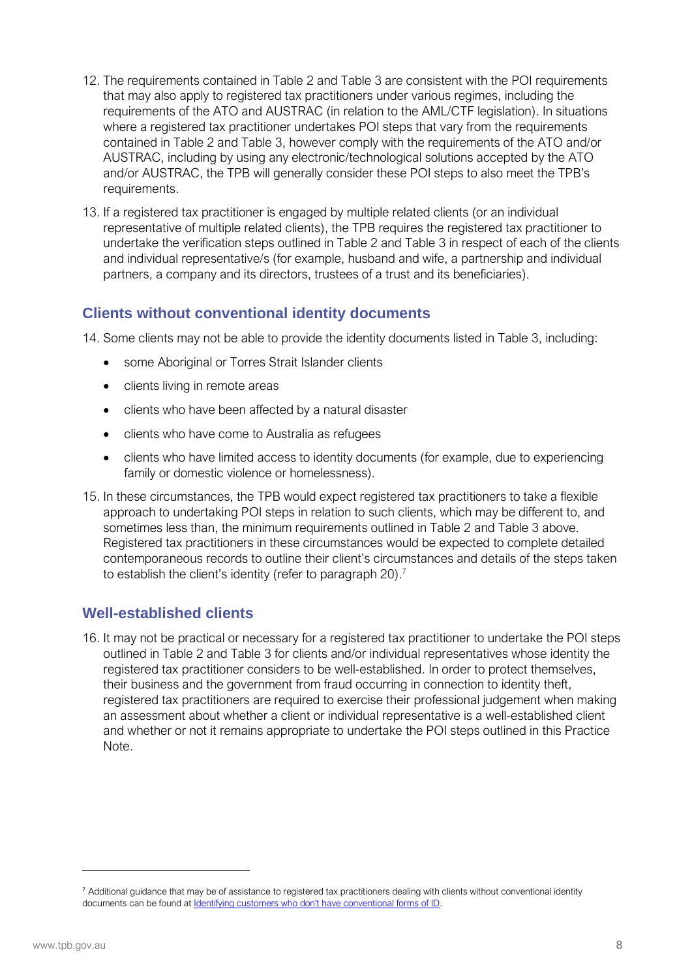- 12. The requirements contained in Table 2 and Table 3 are consistent with the POI requirements that may also apply to registered tax practitioners under various regimes, including the requirements of the ATO and AUSTRAC (in relation to the AML/CTF legislation). In situations where a registered tax practitioner undertakes POI steps that vary from the requirements contained in Table 2 and Table 3, however comply with the requirements of the ATO and/or AUSTRAC, including by using any electronic/technological solutions accepted by the ATO and/or AUSTRAC, the TPB will generally consider these POI steps to also meet the TPB's requirements.
- 13. If a registered tax practitioner is engaged by multiple related clients (or an individual representative of multiple related clients), the TPB requires the registered tax practitioner to undertake the verification steps outlined in Table 2 and Table 3 in respect of each of the clients and individual representative/s (for example, husband and wife, a partnership and individual partners, a company and its directors, trustees of a trust and its beneficiaries).

#### **Clients without conventional identity documents**

14. Some clients may not be able to provide the identity documents listed in Table 3, including:

- some Aboriginal or Torres Strait Islander clients
- clients living in remote areas
- clients who have been affected by a natural disaster
- clients who have come to Australia as refugees
- clients who have limited access to identity documents (for example, due to experiencing family or domestic violence or homelessness).
- 15. In these circumstances, the TPB would expect registered tax practitioners to take a flexible approach to undertaking POI steps in relation to such clients, which may be different to, and sometimes less than, the minimum requirements outlined in Table 2 and Table 3 above. Registered tax practitioners in these circumstances would be expected to complete detailed contemporaneous records to outline their client's circu[m](#page-7-0)stances and details of the steps taken to establish the client's identity (refer to paragraph 20).<sup>7</sup>

#### **Well-established clients**

16. It may not be practical or necessary for a registered tax practitioner to undertake the POI steps outlined in Table 2 and Table 3 for clients and/or individual representatives whose identity the registered tax practitioner considers to be well-established. In order to protect themselves, their business and the government from fraud occurring in connection to identity theft, registered tax practitioners are required to exercise their professional judgement when making an assessment about whether a client or individual representative is a well-established client and whether or not it remains appropriate to undertake the POI steps outlined in this Practice Note.

<span id="page-7-0"></span><sup>&</sup>lt;sup>7</sup> Additional guidance that may be of assistance to registered tax practitioners dealing with clients without conventional identity documents can be found at [Identifying customers who don't have conventional forms of ID](https://www.austrac.gov.au/business/how-comply-and-report-guidance-and-resources/customer-identification-and-verification/identifying-customers-who-dont-have-conventional-forms-id).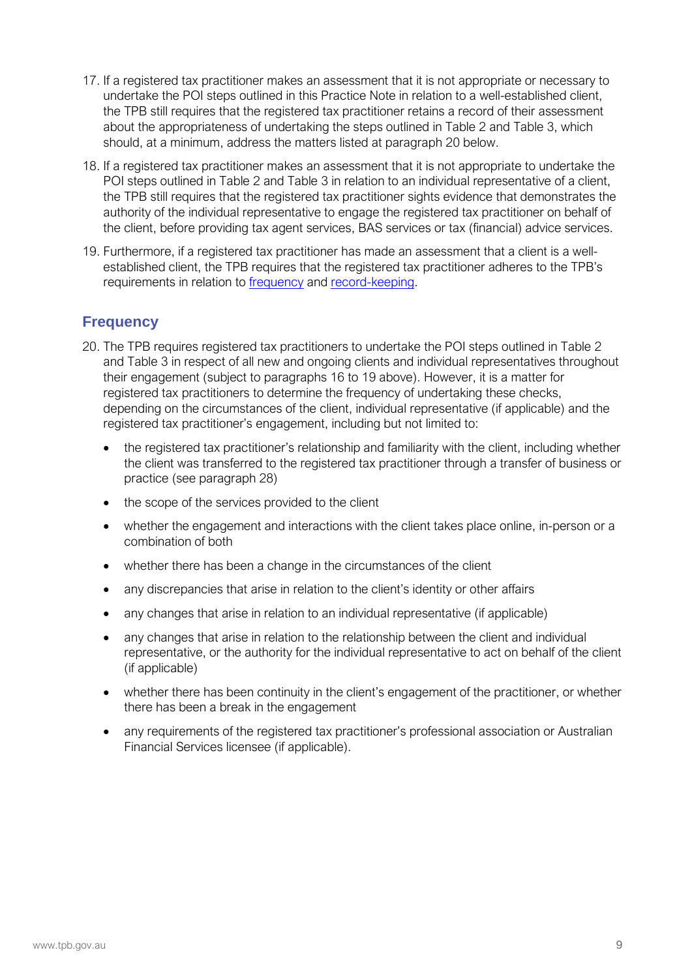- 17. If a registered tax practitioner makes an assessment that it is not appropriate or necessary to undertake the POI steps outlined in this Practice Note in relation to a well-established client, the TPB still requires that the registered tax practitioner retains a record of their assessment about the appropriateness of undertaking the steps outlined in Table 2 and Table 3, which should, at a minimum, address the matters listed at paragraph 20 below.
- 18. If a registered tax practitioner makes an assessment that it is not appropriate to undertake the POI steps outlined in Table 2 and Table 3 in relation to an individual representative of a client, the TPB still requires that the registered tax practitioner sights evidence that demonstrates the authority of the individual representative to engage the registered tax practitioner on behalf of the client, before providing tax agent services, BAS services or tax (financial) advice services.
- 19. Furthermore, if a registered tax practitioner has made an assessment that a client is a wellestablished client, the TPB requires that the registered tax practitioner adheres to the TPB's requirements in relation to [frequency](#page-8-0) and [record-keeping.](#page-8-1)

#### <span id="page-8-0"></span>**Frequency**

- <span id="page-8-1"></span>20. The TPB requires registered tax practitioners to undertake the POI steps outlined in Table 2 and Table 3 in respect of all new and ongoing clients and individual representatives throughout their engagement (subject to paragraphs 16 to 19 above). However, it is a matter for registered tax practitioners to determine the frequency of undertaking these checks, depending on the circumstances of the client, individual representative (if applicable) and the registered tax practitioner's engagement, including but not limited to:
	- the registered tax practitioner's relationship and familiarity with the client, including whether the client was transferred to the registered tax practitioner through a transfer of business or practice (see paragraph 28)
	- the scope of the services provided to the client
	- whether the engagement and interactions with the client takes place online, in-person or a combination of both
	- whether there has been a change in the circumstances of the client
	- any discrepancies that arise in relation to the client's identity or other affairs
	- any changes that arise in relation to an individual representative (if applicable)
	- any changes that arise in relation to the relationship between the client and individual representative, or the authority for the individual representative to act on behalf of the client (if applicable)
	- whether there has been continuity in the client's engagement of the practitioner, or whether there has been a break in the engagement
	- any requirements of the registered tax practitioner's professional association or Australian Financial Services licensee (if applicable).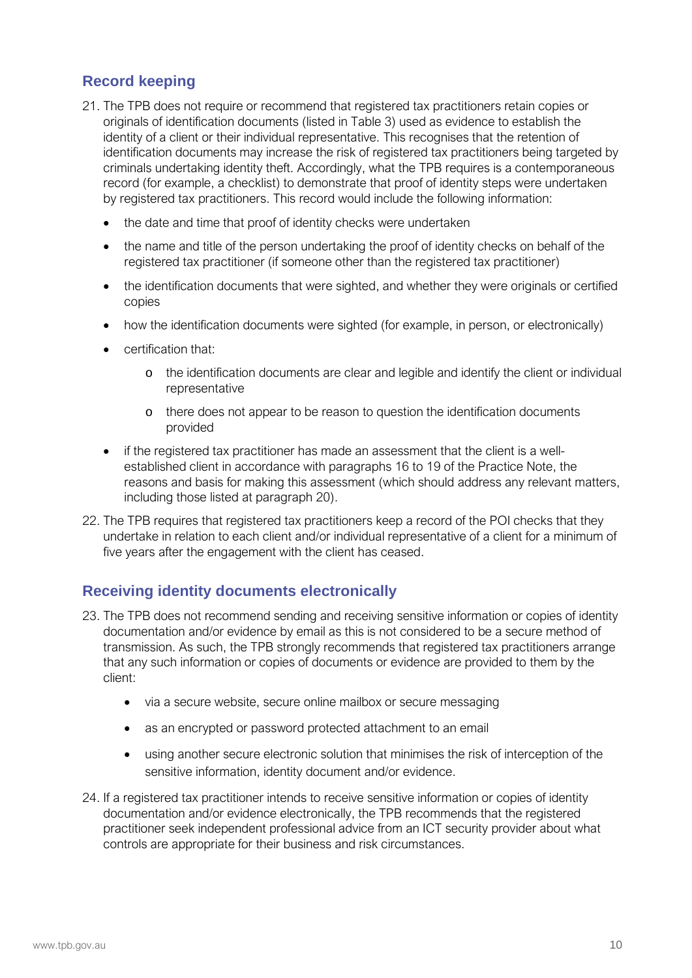#### **Record keeping**

- 21. The TPB does not require or recommend that registered tax practitioners retain copies or originals of identification documents (listed in Table 3) used as evidence to establish the identity of a client or their individual representative. This recognises that the retention of identification documents may increase the risk of registered tax practitioners being targeted by criminals undertaking identity theft. Accordingly, what the TPB requires is a contemporaneous record (for example, a checklist) to demonstrate that proof of identity steps were undertaken by registered tax practitioners. This record would include the following information:
	- the date and time that proof of identity checks were undertaken
	- the name and title of the person undertaking the proof of identity checks on behalf of the registered tax practitioner (if someone other than the registered tax practitioner)
	- the identification documents that were sighted, and whether they were originals or certified copies
	- how the identification documents were sighted (for example, in person, or electronically)
	- certification that:
		- o the identification documents are clear and legible and identify the client or individual representative
		- o there does not appear to be reason to question the identification documents provided
	- if the registered tax practitioner has made an assessment that the client is a wellestablished client in accordance with paragraphs 16 to 19 of the Practice Note, the reasons and basis for making this assessment (which should address any relevant matters, including those listed at paragraph 20).
- 22. The TPB requires that registered tax practitioners keep a record of the POI checks that they undertake in relation to each client and/or individual representative of a client for a minimum of five years after the engagement with the client has ceased.

#### **Receiving identity documents electronically**

- 23. The TPB does not recommend sending and receiving sensitive information or copies of identity documentation and/or evidence by email as this is not considered to be a secure method of transmission. As such, the TPB strongly recommends that registered tax practitioners arrange that any such information or copies of documents or evidence are provided to them by the client:
	- via a secure website, secure online mailbox or secure messaging
	- as an encrypted or password protected attachment to an email
	- using another secure electronic solution that minimises the risk of interception of the sensitive information, identity document and/or evidence.
- 24. If a registered tax practitioner intends to receive sensitive information or copies of identity documentation and/or evidence electronically, the TPB recommends that the registered practitioner seek independent professional advice from an ICT security provider about what controls are appropriate for their business and risk circumstances.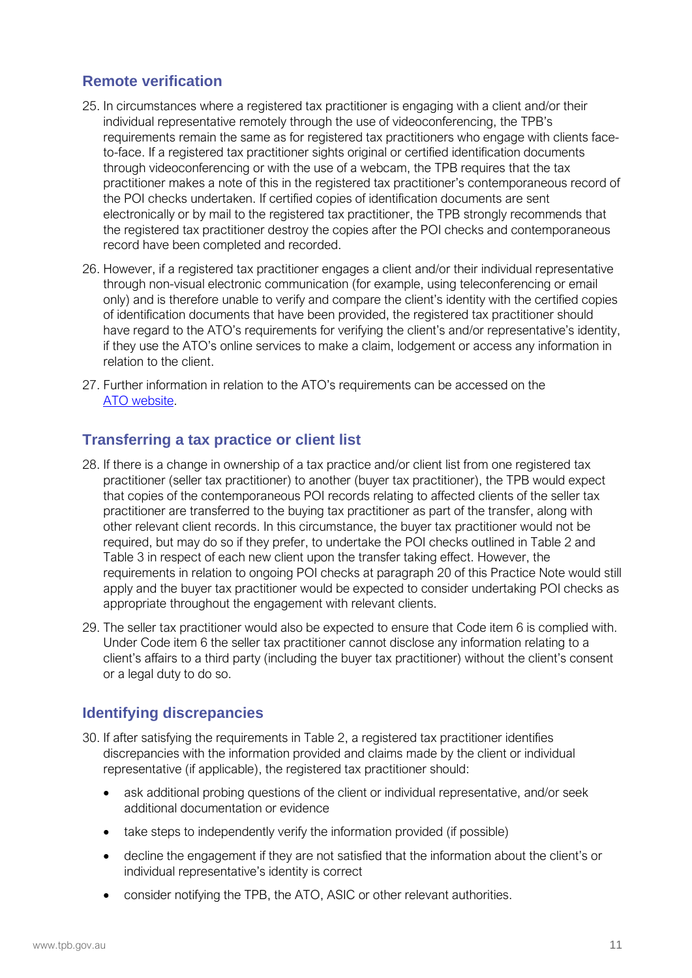#### **Remote verification**

- 25. In circumstances where a registered tax practitioner is engaging with a client and/or their individual representative remotely through the use of videoconferencing, the TPB's requirements remain the same as for registered tax practitioners who engage with clients faceto-face. If a registered tax practitioner sights original or certified identification documents through videoconferencing or with the use of a webcam, the TPB requires that the tax practitioner makes a note of this in the registered tax practitioner's contemporaneous record of the POI checks undertaken. If certified copies of identification documents are sent electronically or by mail to the registered tax practitioner, the TPB strongly recommends that the registered tax practitioner destroy the copies after the POI checks and contemporaneous record have been completed and recorded.
- 26. However, if a registered tax practitioner engages a client and/or their individual representative through non-visual electronic communication (for example, using teleconferencing or email only) and is therefore unable to verify and compare the client's identity with the certified copies of identification documents that have been provided, the registered tax practitioner should have regard to the ATO's requirements for verifying the client's and/or representative's identity, if they use the ATO's online services to make a claim, lodgement or access any information in relation to the client.
- 27. Further information in relation to the ATO's requirements can be accessed on the [ATO website.](https://www.ato.gov.au/General/Gen/Consultation-paper---Transition-to-strengthening-client-verification/)

#### **Transferring a tax practice or client list**

- 28. If there is a change in ownership of a tax practice and/or client list from one registered tax practitioner (seller tax practitioner) to another (buyer tax practitioner), the TPB would expect that copies of the contemporaneous POI records relating to affected clients of the seller tax practitioner are transferred to the buying tax practitioner as part of the transfer, along with other relevant client records. In this circumstance, the buyer tax practitioner would not be required, but may do so if they prefer, to undertake the POI checks outlined in Table 2 and Table 3 in respect of each new client upon the transfer taking effect. However, the requirements in relation to ongoing POI checks at paragraph 20 of this Practice Note would still apply and the buyer tax practitioner would be expected to consider undertaking POI checks as appropriate throughout the engagement with relevant clients.
- 29. The seller tax practitioner would also be expected to ensure that Code item 6 is complied with. Under Code item 6 the seller tax practitioner cannot disclose any information relating to a client's affairs to a third party (including the buyer tax practitioner) without the client's consent or a legal duty to do so.

#### **Identifying discrepancies**

- 30. If after satisfying the requirements in Table 2, a registered tax practitioner identifies discrepancies with the information provided and claims made by the client or individual representative (if applicable), the registered tax practitioner should:
	- ask additional probing questions of the client or individual representative, and/or seek additional documentation or evidence
	- take steps to independently verify the information provided (if possible)
	- decline the engagement if they are not satisfied that the information about the client's or individual representative's identity is correct
	- consider notifying the TPB, the ATO, ASIC or other relevant authorities.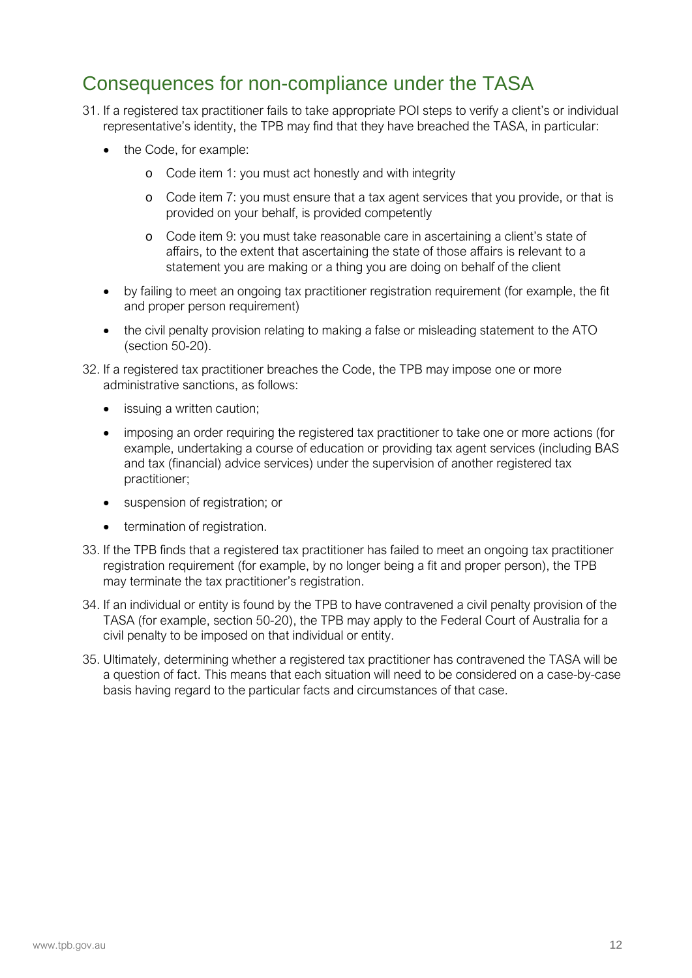### Consequences for non-compliance under the TASA

- 31. If a registered tax practitioner fails to take appropriate POI steps to verify a client's or individual representative's identity, the TPB may find that they have breached the TASA, in particular:
	- the Code, for example:
		- o Code item 1: you must act honestly and with integrity
		- o Code item 7: you must ensure that a tax agent services that you provide, or that is provided on your behalf, is provided competently
		- o Code item 9: you must take reasonable care in ascertaining a client's state of affairs, to the extent that ascertaining the state of those affairs is relevant to a statement you are making or a thing you are doing on behalf of the client
	- by failing to meet an ongoing tax practitioner registration requirement (for example, the fit and proper person requirement)
	- the civil penalty provision relating to making a false or misleading statement to the ATO (section 50-20).
- 32. If a registered tax practitioner breaches the Code, the TPB may impose one or more administrative sanctions, as follows:
	- issuing a written caution:
	- imposing an order requiring the registered tax practitioner to take one or more actions (for example, undertaking a course of education or providing tax agent services (including BAS and tax (financial) advice services) under the supervision of another registered tax practitioner;
	- suspension of registration; or
	- **•** termination of registration.
- 33. If the TPB finds that a registered tax practitioner has failed to meet an ongoing tax practitioner registration requirement (for example, by no longer being a fit and proper person), the TPB may terminate the tax practitioner's registration.
- 34. If an individual or entity is found by the TPB to have contravened a civil penalty provision of the TASA (for example, section 50-20), the TPB may apply to the Federal Court of Australia for a civil penalty to be imposed on that individual or entity.
- 35. Ultimately, determining whether a registered tax practitioner has contravened the TASA will be a question of fact. This means that each situation will need to be considered on a case-by-case basis having regard to the particular facts and circumstances of that case.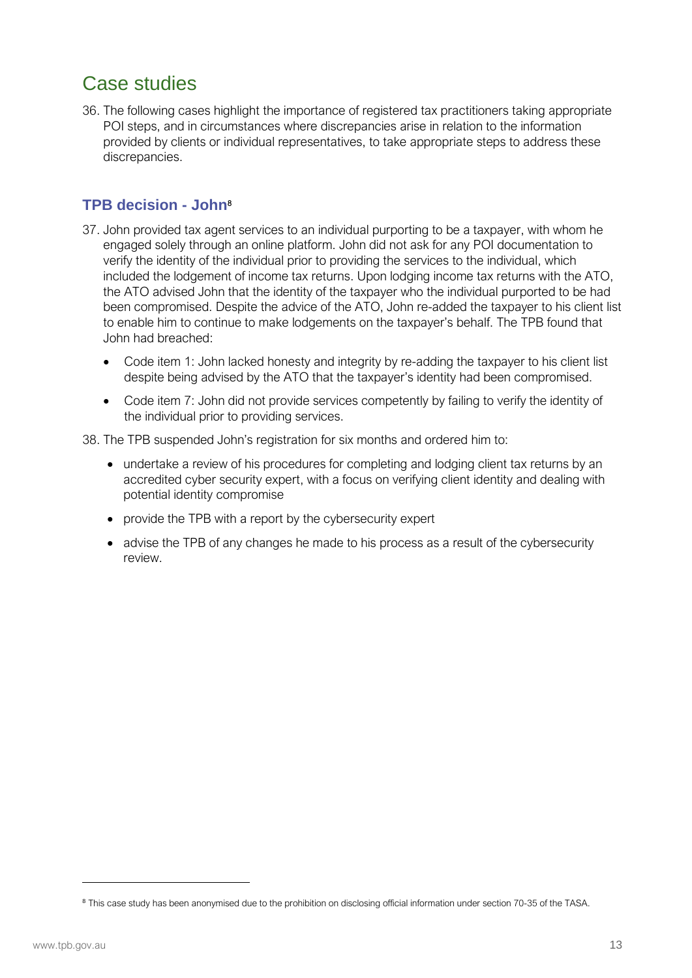## Case studies

36. The following cases highlight the importance of registered tax practitioners taking appropriate POI steps, and in circumstances where discrepancies arise in relation to the information provided by clients or individual representatives, to take appropriate steps to address these discrepancies.

#### **TPB decision - John**[8](#page-12-0)

- 37. John provided tax agent services to an individual purporting to be a taxpayer, with whom he engaged solely through an online platform. John did not ask for any POI documentation to verify the identity of the individual prior to providing the services to the individual, which included the lodgement of income tax returns. Upon lodging income tax returns with the ATO, the ATO advised John that the identity of the taxpayer who the individual purported to be had been compromised. Despite the advice of the ATO, John re-added the taxpayer to his client list to enable him to continue to make lodgements on the taxpayer's behalf. The TPB found that John had breached:
	- Code item 1: John lacked honesty and integrity by re-adding the taxpayer to his client list despite being advised by the ATO that the taxpayer's identity had been compromised.
	- Code item 7: John did not provide services competently by failing to verify the identity of the individual prior to providing services.

38. The TPB suspended John's registration for six months and ordered him to:

- undertake a review of his procedures for completing and lodging client tax returns by an accredited cyber security expert, with a focus on verifying client identity and dealing with potential identity compromise
- provide the TPB with a report by the cybersecurity expert
- advise the TPB of any changes he made to his process as a result of the cybersecurity review.

<span id="page-12-0"></span><sup>8</sup> This case study has been anonymised due to the prohibition on disclosing official information under section 70-35 of the TASA.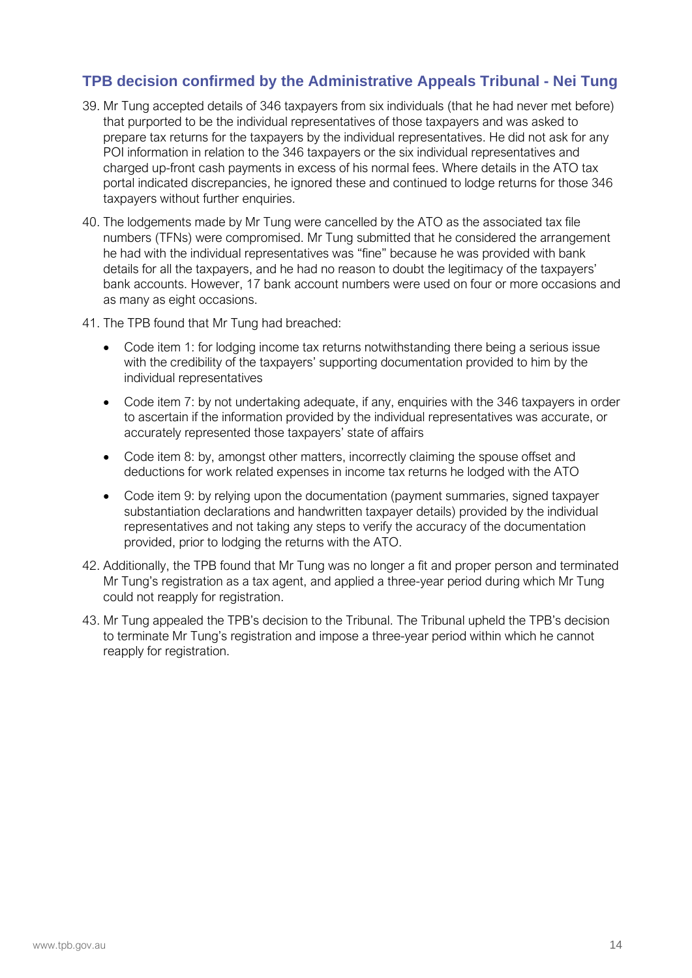#### **TPB decision confirmed by the Administrative Appeals Tribunal - Nei Tung**

- 39. Mr Tung accepted details of 346 taxpayers from six individuals (that he had never met before) that purported to be the individual representatives of those taxpayers and was asked to prepare tax returns for the taxpayers by the individual representatives. He did not ask for any POI information in relation to the 346 taxpayers or the six individual representatives and charged up-front cash payments in excess of his normal fees. Where details in the ATO tax portal indicated discrepancies, he ignored these and continued to lodge returns for those 346 taxpayers without further enquiries.
- 40. The lodgements made by Mr Tung were cancelled by the ATO as the associated tax file numbers (TFNs) were compromised. Mr Tung submitted that he considered the arrangement he had with the individual representatives was "fine" because he was provided with bank details for all the taxpayers, and he had no reason to doubt the legitimacy of the taxpayers' bank accounts. However, 17 bank account numbers were used on four or more occasions and as many as eight occasions.
- 41. The TPB found that Mr Tung had breached:
	- Code item 1: for lodging income tax returns notwithstanding there being a serious issue with the credibility of the taxpayers' supporting documentation provided to him by the individual representatives
	- Code item 7: by not undertaking adequate, if any, enquiries with the 346 taxpayers in order to ascertain if the information provided by the individual representatives was accurate, or accurately represented those taxpayers' state of affairs
	- Code item 8: by, amongst other matters, incorrectly claiming the spouse offset and deductions for work related expenses in income tax returns he lodged with the ATO
	- Code item 9: by relying upon the documentation (payment summaries, signed taxpayer substantiation declarations and handwritten taxpayer details) provided by the individual representatives and not taking any steps to verify the accuracy of the documentation provided, prior to lodging the returns with the ATO.
- 42. Additionally, the TPB found that Mr Tung was no longer a fit and proper person and terminated Mr Tung's registration as a tax agent, and applied a three-year period during which Mr Tung could not reapply for registration.
- 43. Mr Tung appealed the TPB's decision to the Tribunal. The Tribunal upheld the TPB's decision to terminate Mr Tung's registration and impose a three-year period within which he cannot reapply for registration.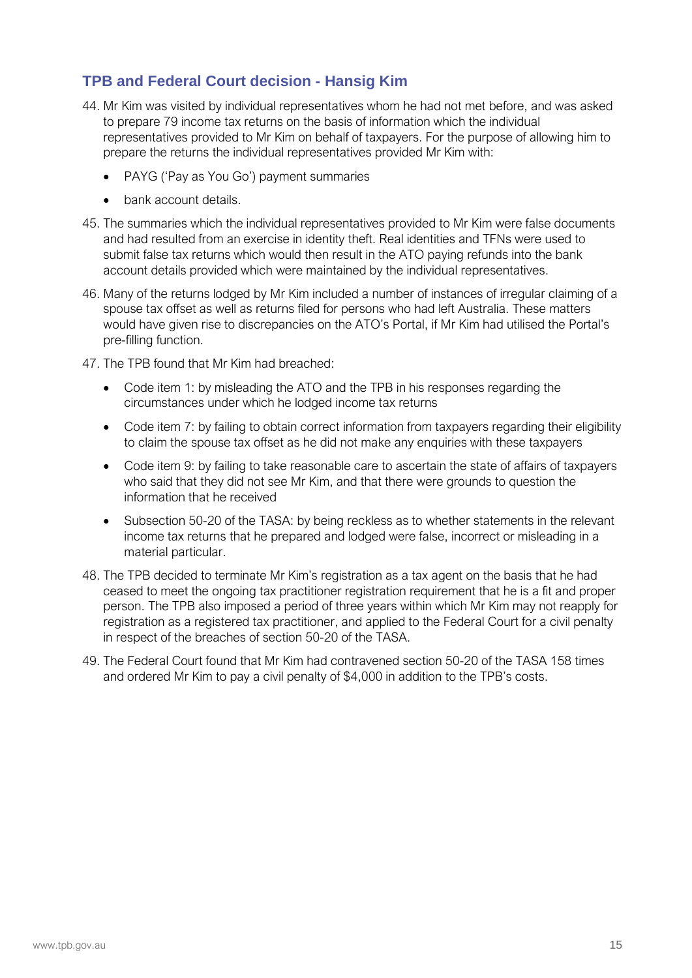#### **TPB and Federal Court decision - Hansig Kim**

- 44. Mr Kim was visited by individual representatives whom he had not met before, and was asked to prepare 79 income tax returns on the basis of information which the individual representatives provided to Mr Kim on behalf of taxpayers. For the purpose of allowing him to prepare the returns the individual representatives provided Mr Kim with:
	- PAYG ('Pay as You Go') payment summaries
	- bank account details.
- 45. The summaries which the individual representatives provided to Mr Kim were false documents and had resulted from an exercise in identity theft. Real identities and TFNs were used to submit false tax returns which would then result in the ATO paying refunds into the bank account details provided which were maintained by the individual representatives.
- 46. Many of the returns lodged by Mr Kim included a number of instances of irregular claiming of a spouse tax offset as well as returns filed for persons who had left Australia. These matters would have given rise to discrepancies on the ATO's Portal, if Mr Kim had utilised the Portal's pre-filling function.
- 47. The TPB found that Mr Kim had breached:
	- Code item 1: by misleading the ATO and the TPB in his responses regarding the circumstances under which he lodged income tax returns
	- Code item 7: by failing to obtain correct information from taxpayers regarding their eligibility to claim the spouse tax offset as he did not make any enquiries with these taxpayers
	- Code item 9: by failing to take reasonable care to ascertain the state of affairs of taxpayers who said that they did not see Mr Kim, and that there were grounds to question the information that he received
	- Subsection 50-20 of the TASA: by being reckless as to whether statements in the relevant income tax returns that he prepared and lodged were false, incorrect or misleading in a material particular.
- 48. The TPB decided to terminate Mr Kim's registration as a tax agent on the basis that he had ceased to meet the ongoing tax practitioner registration requirement that he is a fit and proper person. The TPB also imposed a period of three years within which Mr Kim may not reapply for registration as a registered tax practitioner, and applied to the Federal Court for a civil penalty in respect of the breaches of section 50-20 of the TASA.
- 49. The Federal Court found that Mr Kim had contravened section 50-20 of the TASA 158 times and ordered Mr Kim to pay a civil penalty of \$4,000 in addition to the TPB's costs.